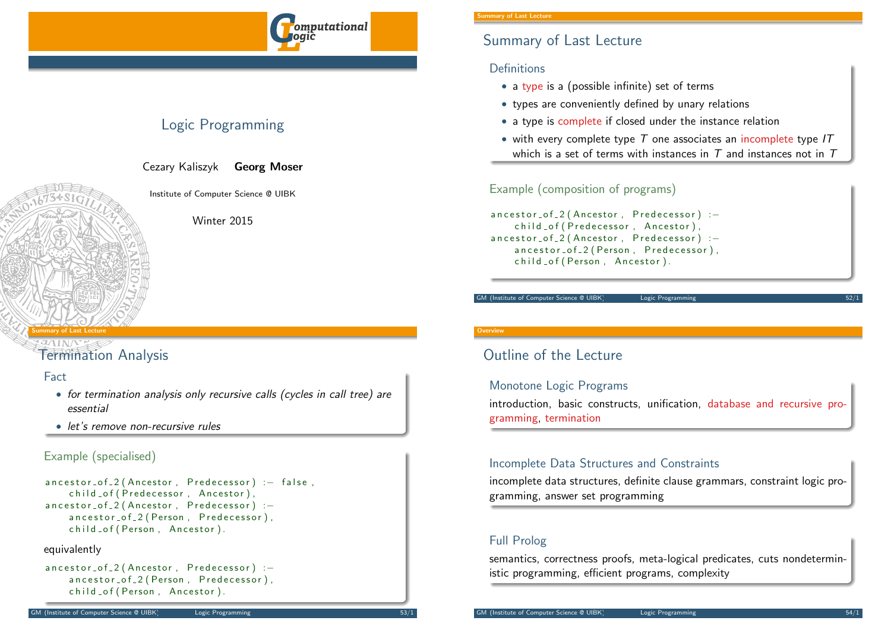

# Logic Programming

Cezary Kaliszyk Georg Moser

Institute of Computer Science @ UIBK

Winter 2015

### <span id="page-0-0"></span>Summary of Last Lecture

# [Termin](#page-0-0)ation Analysis

### Fact

- for termination analysis only recursive calls (cycles in call tree) are essential
- let's remove non-recursive rules

### Example (specialised)

```
ancestor_of_2 (Ancestor, Predecessor) :- false,
    child _of (Predecessor, Ancestor),
ancestor_of_2 (Ancestor, Predecessor) :-
    ancestor_of_2 (Person, Predecessor),
    child _of ( Person, Ancestor).
```
### equivalently

```
ancestor_of_2 (Ancestor, Predecessor) :-
    ancestor_of_2 (Person, Predecessor),
    child _of ( Person, Ancestor ).
```
#### nary of Last Lecture

# Summary of Last Lecture

### Definitions

- a type is a (possible infinite) set of terms
- types are conveniently defined by unary relations
- a type is complete if closed under the instance relation
- with every complete type  $T$  one associates an incomplete type  $IT$ which is a set of terms with instances in  $T$  and instances not in  $T$

## Example (composition of programs)

ancestor\_of\_2 (Ancestor, Predecessor) :child of (Predecessor, Ancestor).  $ancestor_of_2$  (Ancestor, Predecessor) :ancestor\_of\_2 (Person, Predecessor), child \_ of ( Person, Ancestor).

#### GM (Institute of Computer Science @ UIBK) Logic Programming

### **Overview**

# Outline of the Lecture

### Monotone Logic Programs

introduction, basic constructs, unification, database and recursive programming, termination

### Incomplete Data Structures and Constraints

incomplete data structures, definite clause grammars, constraint logic programming, answer set programming

# Full Prolog

semantics, correctness proofs, meta-logical predicates, cuts nondeterministic programming, efficient programs, complexity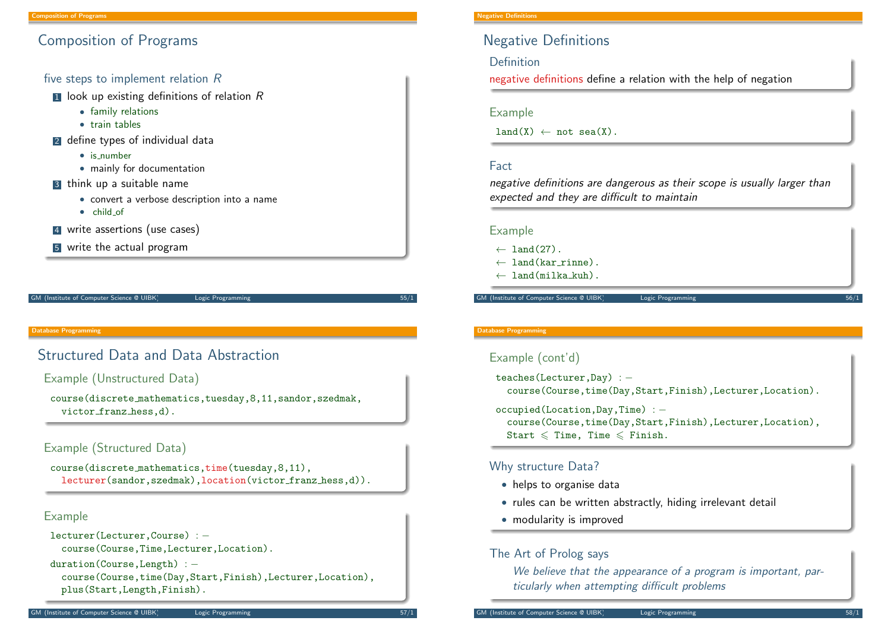# Composition of Programs

### five steps to implement relation R

- $\blacksquare$  look up existing definitions of relation  $R$ 
	- family relations
	- train tables
- 2 define types of individual data
	- is number
	- mainly for documentation
- 3 think up a suitable name
	- convert a verbose description into a name
	- child of
- 4 write assertions (use cases)
- 5 write the actual program

GM (Institute of Computer Science @ UIBK) Logic Programming

#### Database Programming

# <span id="page-1-0"></span>[Structu](#page-1-0)red Data and Data Abstraction

### Example (Unstructured Data)

course(discrete mathematics,tuesday,8,11,sandor,szedmak, victor franz hess,d).

### Example (Structured Data)

course(discrete mathematics,time(tuesday,8,11), lecturer(sandor,szedmak),location(victor\_franz\_hess,d)).

### Example

```
lecturer(Lecturer,Course) : −
  course(Course,Time,Lecturer,Location).
```

```
duration(Course,Length) : −
```

```
course(Course,time(Day,Start,Finish),Lecturer,Location),
plus(Start,Length,Finish).
```
# Negative Definitions

Definition

negative definitions define a relation with the help of negation

### Example

 $land(X) \leftarrow not sea(X)$ .

### Fact

negative definitions are dangerous as their scope is usually larger than expected and they are difficult to maintain

### Example

- $\leftarrow$  land(27).
- ← land(kar rinne).
- ← land(milka kuh).

GM (Institute of Computer Science @ UIBK) Logic Programming

#### Database Programming

### Example (cont'd)

teaches(Lecturer,Day) : − course(Course,time(Day,Start,Finish),Lecturer,Location).

occupied(Location,Day,Time) : − course(Course,time(Day,Start,Finish),Lecturer,Location), Start  $\leq$  Time, Time  $\leq$  Finish.

(Institute of Computer Science @ UIBK) Logic Programming

### Why structure Data?

- helps to organise data
- rules can be written abstractly, hiding irrelevant detail
- modularity is improved

### The Art of Prolog says

We believe that the appearance of a program is important, particularly when attempting difficult problems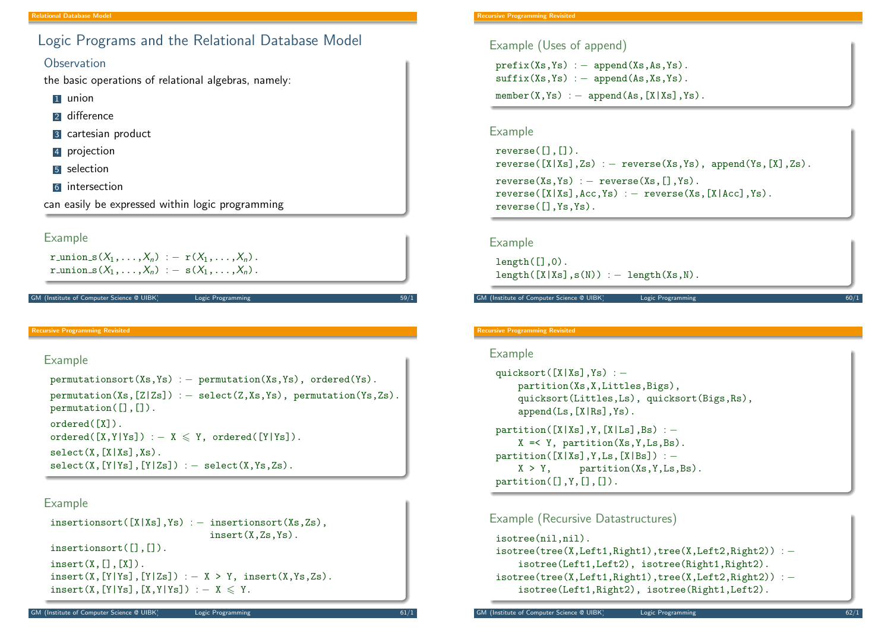# Logic Programs and the Relational Database Model

### **Observation**

the basic operations of relational algebras, namely:

- **1** union
- 2 difference
- 3 cartesian product
- 4 projection
- **5** selection
- 6 intersection

can easily be expressed within logic programming

### Example

r union  $s(X_1,\ldots,X_n) := r(X_1,\ldots,X_n)$ . r\_union\_s $(X_1,\ldots,X_n) := s(X_1,\ldots,X_n)$ .

#### (Institute of Computer Science @ UIBK) Logic Programming

#### Recursive Programming Revisited

### Example

permutationsort(Xs,Ys) : - permutation(Xs,Ys), ordered(Ys). permutation(Xs, $[Z|Zs]$ ) : – select(Z,Xs,Ys), permutation(Ys,Zs). permutation([],[]). ordered([X]).  $ordered([X,Y|Ys]) := X \leq Y$ ,  $ordered([Y|Ys])$ .  $select(X, [X|Xs], Xs)$ .  $select(X, [Y|Ys], [Y|Zs]) := select(X,Ys,Zs)$ .

### Example

```
insertionsort([X|Xs],Ys) : – insertionsort(Xs,Zs),
                              insert(X,Zs,Ys).
insertionsort([],[]).
insert(X, [1, [X]).
insert(X, [Y|Ys], [Y|Zs]) :- X > Y, insert(X,Ys,Zs).insert(X, [Y|Ys], [X, Y|Ys]) := X \leq Y.
```
### Example (Uses of append)

 $prefix(Xs,Ys) := append(Xs,As,Ys)$ .  $suffix(Xs,Ys) := append(As,Xs,Ys)$ .  $member(X,Ys) := append(As, [X|Xs], Ys).$ 

### Example

```
reverse([],[]).
reverse([X|Xs],Zs) := reverse(Xs,Ys), append(Ys,[X],Zs).reverse(Xs,Ys) := reverse(Xs,[1,Ys)).reverse([X|Xs],Acc,Ys) := reverse(Xs,[X|Acc],Ys).reverse([],Ys,Ys).
```
### Example

 $l$ ength $(\lceil$ .0).  $length([X|Xs],s(N)) := length(Xs,N).$ 

GM (Institute of Computer Science @ UIBK) Logic Programming

#### Recursive Programming Revisited

### Example

```
quicksort([X|Xs],Ys) : −
    partition(Xs,X,Littles,Bigs),
    quicksort(Littles,Ls), quicksort(Bigs,Rs),
    append(Ls,[X|Rs],Ys).
partition([X|Xs],Y,[X|Ls],Bs) : −
    X = < Y, partition(Xs, Y, Ls, Bs).
partition([X|Xs],Y, Ls,[X|Bs]) : −
    X > Y, partition(Xs, Y, Ls, Bs).
partition([], Y, [], []).
```
### Example (Recursive Datastructures)

```
isotree(nil,nil).
isotree(tree(X, Left1, Right1), tree(X, Left2, Right2)): −
    isotree(Left1,Left2), isotree(Right1,Right2).
isotree(tree(X, Left1, Right1), tree(X, Left2, Right2)) : −
    isotree(Left1,Right2), isotree(Right1,Left2).
```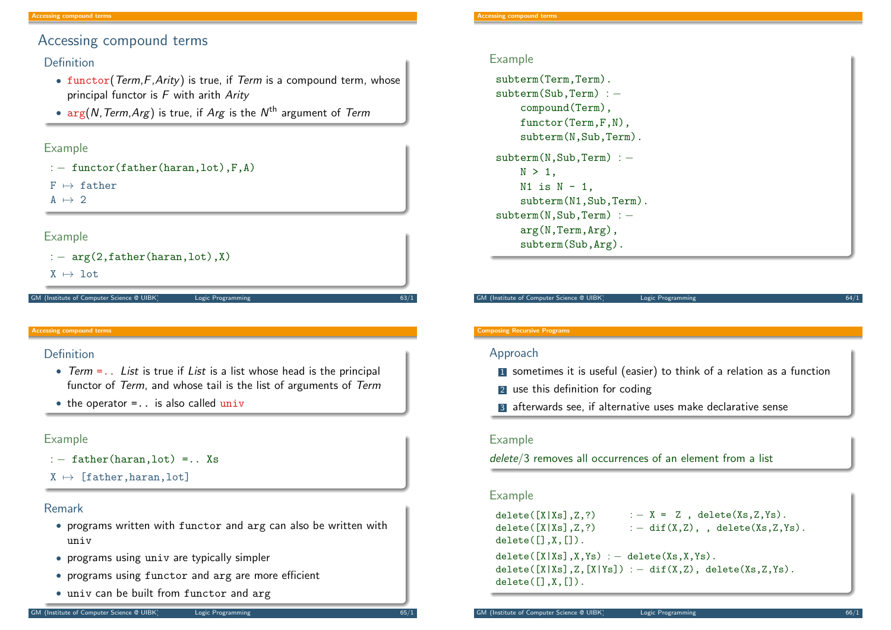# Accessing compound terms

### Definition

- functor( $Term, F, Arity$ ) is true, if  $Term$  is a compound term, whose principal functor is  $F$  with arith Arity
- $\bullet$   $\arg(N, Term, Arg)$  is true, if  $Arg$  is the  $N^{\text{th}}$  argument of  $Term$

### Example

```
: – functor(father(haran,lot), F, A)
```
 $F \mapsto f$ ather

 $A \mapsto 2$ 

### Example

```
: - arg(2,father(haran,lot),X)
```
 $X \mapsto$  lot

#### M (Institute of Computer Science @ UIBK) Logic Programming

#### <span id="page-3-0"></span>Accessing compound terms

### [Definition](#page-3-0)

- Term  $=$ .. List is true if List is a list whose head is the principal functor of Term, and whose tail is the list of arguments of Term
- $\bullet$  the operator = . is also called univ

### Example

- $: -$  father(haran, lot) =.. Xs
- $X \mapsto$  [father, haran, lot]

### Remark

- programs written with functor and arg can also be written with univ
- programs using univ are typically simpler
- programs using functor and arg are more efficient
- univ can be built from functor and arg

### Example

subterm(Term,Term). subterm(Sub,Term) : compound(Term), functor(Term,F,N), subterm(N,Sub,Term). subterm(N,Sub,Term) : - $N > 1$ .  $N1$  is  $N - 1$ , subterm(N1,Sub,Term). subterm(N,Sub,Term) : arg(N,Term,Arg), subterm(Sub,Arg).

GM (Institute of Computer Science @ UIBK) Logic Programming

#### Composing Recursive Programs

### Approach

- **1** sometimes it is useful (easier) to think of a relation as a function
- 2 use this definition for coding
- 3 afterwards see, if alternative uses make declarative sense

### Example

delete/3 removes all occurrences of an element from a list

### Example

```
delete([X|Xs],Z,?) : - X = Z, delete(Xs,Z,Ys).
delete([X|Xs],Z,?) : - dif(X,Z), , delete(Xs,Z,Ys).
delete([], X, []).delete([X|Xs],X,Ys) := delete(Xs,X,Ys).
delete([X|Xs],Z,[X|Ys]) : - dif(X,Z), delete(Xs,Z,Ys).
delete([], X, []).
```